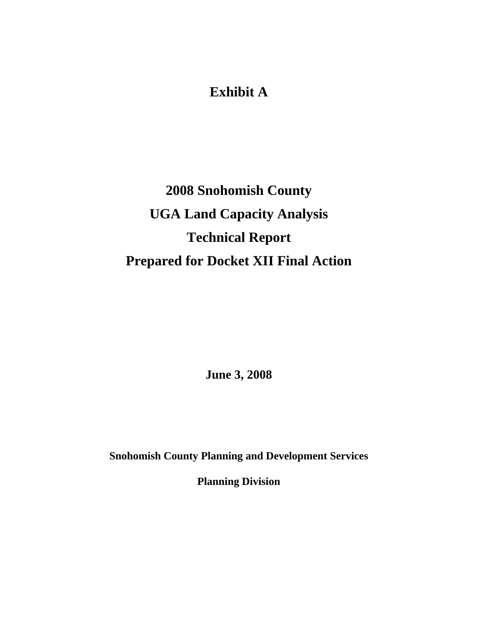## **Exhibit A**

# **2008 Snohomish County UGA Land Capacity Analysis Technical Report Prepared for Docket XII Final Action**

**June 3, 2008** 

**Snohomish County Planning and Development Services** 

**Planning Division**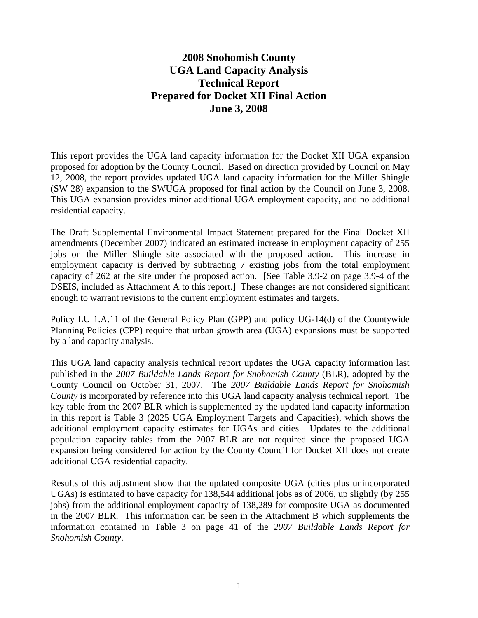#### **2008 Snohomish County UGA Land Capacity Analysis Technical Report Prepared for Docket XII Final Action June 3, 2008**

This report provides the UGA land capacity information for the Docket XII UGA expansion proposed for adoption by the County Council. Based on direction provided by Council on May 12, 2008, the report provides updated UGA land capacity information for the Miller Shingle (SW 28) expansion to the SWUGA proposed for final action by the Council on June 3, 2008. This UGA expansion provides minor additional UGA employment capacity, and no additional residential capacity.

The Draft Supplemental Environmental Impact Statement prepared for the Final Docket XII amendments (December 2007) indicated an estimated increase in employment capacity of 255 jobs on the Miller Shingle site associated with the proposed action. This increase in employment capacity is derived by subtracting 7 existing jobs from the total employment capacity of 262 at the site under the proposed action. [See Table 3.9-2 on page 3.9-4 of the DSEIS, included as Attachment A to this report.] These changes are not considered significant enough to warrant revisions to the current employment estimates and targets.

Policy LU 1.A.11 of the General Policy Plan (GPP) and policy UG-14(d) of the Countywide Planning Policies (CPP) require that urban growth area (UGA) expansions must be supported by a land capacity analysis.

This UGA land capacity analysis technical report updates the UGA capacity information last published in the *2007 Buildable Lands Report for Snohomish County* (BLR), adopted by the County Council on October 31, 2007. The *2007 Buildable Lands Report for Snohomish County* is incorporated by reference into this UGA land capacity analysis technical report. The key table from the 2007 BLR which is supplemented by the updated land capacity information in this report is Table 3 (2025 UGA Employment Targets and Capacities), which shows the additional employment capacity estimates for UGAs and cities. Updates to the additional population capacity tables from the 2007 BLR are not required since the proposed UGA expansion being considered for action by the County Council for Docket XII does not create additional UGA residential capacity.

Results of this adjustment show that the updated composite UGA (cities plus unincorporated UGAs) is estimated to have capacity for 138,544 additional jobs as of 2006, up slightly (by 255 jobs) from the additional employment capacity of 138,289 for composite UGA as documented in the 2007 BLR. This information can be seen in the Attachment B which supplements the information contained in Table 3 on page 41 of the *2007 Buildable Lands Report for Snohomish County*.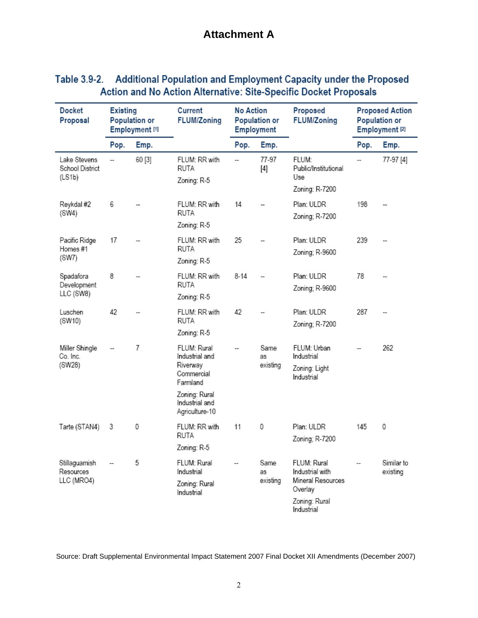## **Attachment A**

| Table 3.9-2. Additional Population and Employment Capacity under the Proposed |
|-------------------------------------------------------------------------------|
| Action and No Action Alternative: Site-Specific Docket Proposals              |

| <b>Docket</b><br>Proposal                 | <b>Existing</b><br><b>Population or</b><br>Employment <sup>[1]</sup> |        | Current<br><b>FLUM/Zoning</b>                                                                                                       | No Action<br><b>Population or</b><br><b>Employment</b>                                               |                              | Proposed<br><b>FLUM/Zoning</b>                                                                | <b>Proposed Action</b><br><b>Population or</b><br>Employment <sup>[2]</sup> |                        |
|-------------------------------------------|----------------------------------------------------------------------|--------|-------------------------------------------------------------------------------------------------------------------------------------|------------------------------------------------------------------------------------------------------|------------------------------|-----------------------------------------------------------------------------------------------|-----------------------------------------------------------------------------|------------------------|
|                                           | Pop.                                                                 | Emp.   |                                                                                                                                     | Pop.                                                                                                 | Emp.                         |                                                                                               | Pop.                                                                        | Emp.                   |
| Lake Stevens<br>School District<br>(LS1b) | $\overline{a}$                                                       | 60 [3] | 77-97<br>FLUM:<br>FLUM: RR with<br>$\overline{\phantom{a}}$<br>RUTA<br>Public/Institutional<br>Use<br>Zoning: R-5<br>Zoning: R-7200 |                                                                                                      |                              | 77-97 [4]                                                                                     |                                                                             |                        |
| Reykdal #2<br>(SW4)                       | 6                                                                    |        | FLUM: RR with<br>RUTA<br>Zoning: R-5                                                                                                | 14                                                                                                   |                              | Plan: ULDR<br>Zoning; R-7200                                                                  | 198                                                                         |                        |
| Pacific Ridge<br>Homes#1<br>(SW7)         | 17                                                                   |        | FLUM: RR with<br>RUTA<br>Zoning: R-5                                                                                                | 25                                                                                                   |                              | Plan: ULDR<br>Zoning; R-9600                                                                  | 239                                                                         |                        |
| Spadafora<br>Development<br>LLC (SW8)     | 8                                                                    |        | FLUM: RR with<br>RUTA<br>Zoning: R-5                                                                                                | $8 - 14$                                                                                             |                              | Plan: ULDR<br>Zoning; R-9600                                                                  | 78                                                                          |                        |
| Luschen<br>(SW10)                         | 42                                                                   |        | FLUM: RR with<br>RUTA<br>Zoning: R-5                                                                                                | 42                                                                                                   | Plan: ULDR<br>Zoning; R-7200 |                                                                                               | 287                                                                         |                        |
| Miller Shingle<br>Co. Inc.<br>(SW28)      |                                                                      | 7      | FLUM: Rural<br>Industrial and<br>Riverway<br>Commercial<br>Farmland<br>Zoning: Rural<br>Industrial and<br>Agriculture-10            | Same<br>FLUM: Urban<br>$\overline{a}$<br>Industrial<br>as<br>existing<br>Zoning: Light<br>Industrial |                              |                                                                                               |                                                                             | 262                    |
| Tarte (STAN4)                             | 3                                                                    | 0      | FLUM: RR with<br>RUTA<br>Zoning: R-5                                                                                                | 11                                                                                                   | 0                            | Plan: ULDR<br>Zoning; R-7200                                                                  | 145                                                                         | 0                      |
| Stillaguamish<br>Resources<br>LLC (MRO4)  |                                                                      | 5      | FLUM: Rural<br>Industrial<br>Zoning: Rural<br>Industrial                                                                            | $\overline{\phantom{a}}$                                                                             | Same<br>as<br>existing       | FLUM: Rural<br>Industrial with<br>Mineral Resources<br>Overlay<br>Zoning: Rural<br>Industrial |                                                                             | Similar to<br>existing |

Source: Draft Supplemental Environmental Impact Statement 2007 Final Docket XII Amendments (December 2007)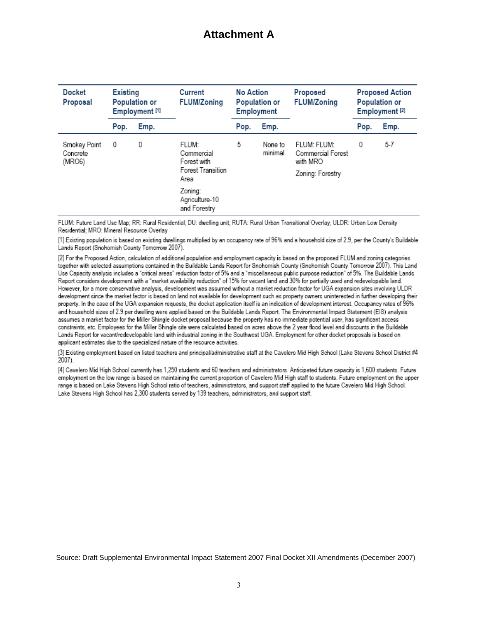## **Attachment A**

| <b>Docket</b><br>Proposal          | <b>Existing</b><br><b>Population or</b><br>Employment <sup>[1]</sup> |      | Current<br><b>FLUM/Zoning</b>                                   | No Action<br><b>Population or</b><br><b>Employment</b> |                    | Proposed<br><b>FLUM/Zoning</b>                                   | <b>Proposed Action</b><br><b>Population or</b><br>Employment <sup>[2]</sup> |       |
|------------------------------------|----------------------------------------------------------------------|------|-----------------------------------------------------------------|--------------------------------------------------------|--------------------|------------------------------------------------------------------|-----------------------------------------------------------------------------|-------|
|                                    | Pop.                                                                 | Emp. |                                                                 | Pop.                                                   | Emp.               |                                                                  | Pop.                                                                        | Emp.  |
| Smokey Point<br>Concrete<br>(MRO6) | 0                                                                    | 0    | FLUM:<br>Commercial<br>Forest with<br>Forest Transition<br>Area | 5                                                      | None to<br>minimal | FLUM: FLUM:<br>Commercial Forest<br>with MRO<br>Zoning: Forestry | 0                                                                           | $5-7$ |
|                                    |                                                                      |      | Zoning:<br>Agriculture-10<br>and Forestry                       |                                                        |                    |                                                                  |                                                                             |       |

FLUM: Future Land Use Map; RR: Rural Residential; DU: dwelling unit; RUTA: Rural Urban Transitional Overlay; ULDR: Urban Low Density Residential; MRO: Mineral Resource Overlay

[1] Existing population is based on existing dwellings multiplied by an occupancy rate of 96% and a household size of 2.9, per the County's Buildable Lands Report (Snohomish County Tomorrow 2007).

[2] For the Proposed Action, calculation of additional population and employment capacity is based on the proposed FLUM and zoning categories together with selected assumptions contained in the Buildable Lands Report for Snohomish County (Snohomish County Tomorrow 2007). This Land Use Capacity analysis includes a "critical areas" reduction factor of 5% and a "miscellaneous public purpose reduction" of 5%. The Buildable Lands Report considers development with a "market availability reduction" of 15% for vacant land and 30% for partially used and redevelopable land. However, for a more conservative analysis, development was assumed without a market reduction factor for UGA expansion sites involving ULDR development since the market factor is based on land not available for development such as property owners uninterested in further developing their property. In the case of the UGA expansion requests, the docket application itself is an indication of development interest. Occupancy rates of 96% and household sizes of 2.9 per dwelling were applied based on the Buildable Lands Report. The Environmental Impact Statement (EIS) analysis assumes a market factor for the Miller Shingle docket proposal because the property has no immediate potential user, has significant access constraints, etc. Employees for the Miller Shingle site were calculated based on acres above the 2 year flood level and discounts in the Buildable Lands Report for vacant/redevelopable land with industrial zoning in the Southwest UGA. Employment for other docket proposals is based on applicant estimates due to the specialized nature of the resource activities.

[3] Existing employment based on listed teachers and principal/administrative staff at the Cavelero Mid High School (Lake Stevens School District #4 2007).

[4] Cavelero Mid High School currently has 1,250 students and 60 teachers and administrators. Anticipated future capacity is 1,600 students. Future employment on the low range is based on maintaining the current proportion of Cavelero Mid High staff to students. Future employment on the upper range is based on Lake Stevens High School ratio of teachers, administrators, and support staff applied to the future Cavelero Mid High School. Lake Stevens High School has 2,300 students served by 139 teachers, administrators, and support staff.

Source: Draft Supplemental Environmental Impact Statement 2007 Final Docket XII Amendments (December 2007)